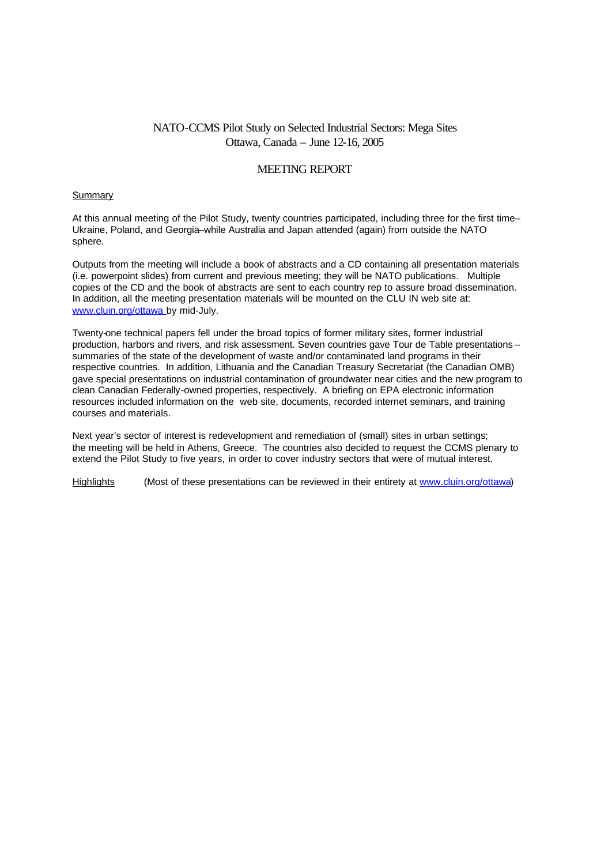# NATO-CCMS Pilot Study on Selected Industrial Sectors: Mega Sites Ottawa, Canada – June 12-16, 2005

## MEETING REPORT

#### **Summary**

At this annual meeting of the Pilot Study, twenty countries participated, including three for the first time– Ukraine, Poland, and Georgia–while Australia and Japan attended (again) from outside the NATO sphere.

Outputs from the meeting will include a book of abstracts and a CD containing all presentation materials (i.e. powerpoint slides) from current and previous meeting; they will be NATO publications. Multiple copies of the CD and the book of abstracts are sent to each country rep to assure broad dissemination. In addition, all the meeting presentation materials will be mounted on the CLU IN web site at: www.cluin.org/ottawa by mid-July.

Twenty-one technical papers fell under the broad topics of former military sites, former industrial production, harbors and rivers, and risk assessment. Seven countries gave Tour de Table presentations - summaries of the state of the development of waste and/or contaminated land programs in their respective countries. In addition, Lithuania and the Canadian Treasury Secretariat (the Canadian OMB) gave special presentations on industrial contamination of groundwater near cities and the new program to clean Canadian Federally-owned properties, respectively. A briefing on EPA electronic information resources included information on the web site, documents, recorded internet seminars, and training courses and materials.

Next year's sector of interest is redevelopment and remediation of (small) sites in urban settings; the meeting will be held in Athens, Greece. The countries also decided to request the CCMS plenary to extend the Pilot Study to five years, in order to cover industry sectors that were of mutual interest.

Highlights (Most of these presentations can be reviewed in their entirety at www.cluin.org/ottawa)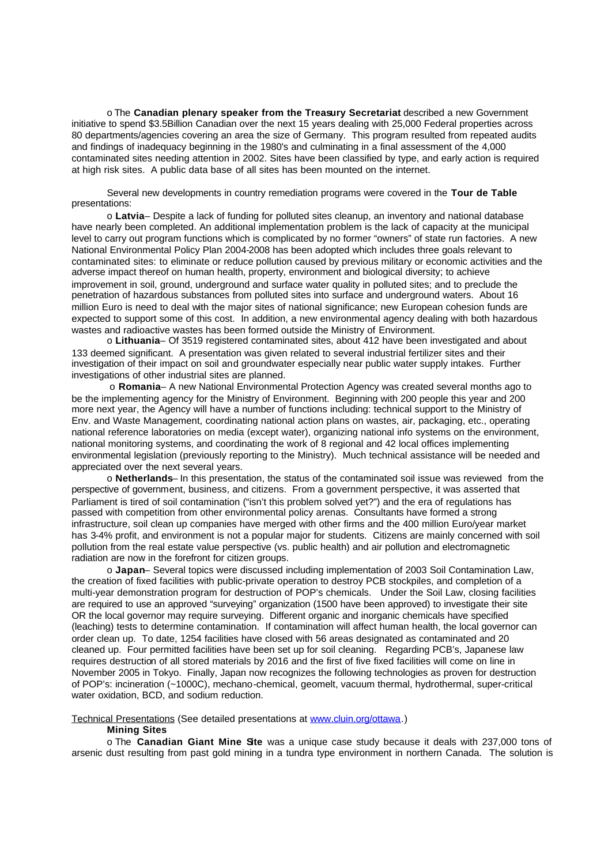o The **Canadian plenary speaker from the Treasury Secretariat** described a new Government initiative to spend \$3.5Billion Canadian over the next 15 years dealing with 25,000 Federal properties across 80 departments/agencies covering an area the size of Germany. This program resulted from repeated audits and findings of inadequacy beginning in the 1980's and culminating in a final assessment of the 4,000 contaminated sites needing attention in 2002. Sites have been classified by type, and early action is required at high risk sites. A public data base of all sites has been mounted on the internet.

Several new developments in country remediation programs were covered in the **Tour de Table**  presentations:

o **Latvia**– Despite a lack of funding for polluted sites cleanup, an inventory and national database have nearly been completed. An additional implementation problem is the lack of capacity at the municipal level to carry out program functions which is complicated by no former "owners" of state run factories. A new National Environmental Policy Plan 2004-2008 has been adopted which includes three goals relevant to contaminated sites: to eliminate or reduce pollution caused by previous military or economic activities and the adverse impact thereof on human health, property, environment and biological diversity; to achieve improvement in soil, ground, underground and surface water quality in polluted sites; and to preclude the penetration of hazardous substances from polluted sites into surface and underground waters. About 16 million Euro is need to deal with the major sites of national significance; new European cohesion funds are expected to support some of this cost. In addition, a new environmental agency dealing with both hazardous wastes and radioactive wastes has been formed outside the Ministry of Environment.

o **Lithuania**– Of 3519 registered contaminated sites, about 412 have been investigated and about 133 deemed significant. A presentation was given related to several industrial fertilizer sites and their investigation of their impact on soil and groundwater especially near public water supply intakes. Further investigations of other industrial sites are planned.

 o **Romania**– A new National Environmental Protection Agency was created several months ago to be the implementing agency for the Ministry of Environment. Beginning with 200 people this year and 200 more next year, the Agency will have a number of functions including: technical support to the Ministry of Env. and Waste Management, coordinating national action plans on wastes, air, packaging, etc., operating national reference laboratories on media (except water), organizing national info systems on the environment, national monitoring systems, and coordinating the work of 8 regional and 42 local offices implementing environmental legislation (previously reporting to the Ministry). Much technical assistance will be needed and appreciated over the next several years.

o **Netherlands**– In this presentation, the status of the contaminated soil issue was reviewed from the perspective of government, business, and citizens. From a government perspective, it was asserted that Parliament is tired of soil contamination ("isn't this problem solved yet?") and the era of regulations has passed with competition from other environmental policy arenas. Consultants have formed a strong infrastructure, soil clean up companies have merged with other firms and the 400 million Euro/year market has 3-4% profit, and environment is not a popular major for students. Citizens are mainly concerned with soil pollution from the real estate value perspective (vs. public health) and air pollution and electromagnetic radiation are now in the forefront for citizen groups.

o **Japan**– Several topics were discussed including implementation of 2003 Soil Contamination Law, the creation of fixed facilities with public-private operation to destroy PCB stockpiles, and completion of a multi-year demonstration program for destruction of POP's chemicals. Under the Soil Law, closing facilities are required to use an approved "surveying" organization (1500 have been approved) to investigate their site OR the local governor may require surveying. Different organic and inorganic chemicals have specified (leaching) tests to determine contamination. If contamination will affect human health, the local governor can order clean up. To date, 1254 facilities have closed with 56 areas designated as contaminated and 20 cleaned up. Four permitted facilities have been set up for soil cleaning. Regarding PCB's, Japanese law requires destruction of all stored materials by 2016 and the first of five fixed facilities will come on line in November 2005 in Tokyo. Finally, Japan now recognizes the following technologies as proven for destruction of POP's: incineration (~1000C), mechano-chemical, geomelt, vacuum thermal, hydrothermal, super-critical water oxidation, BCD, and sodium reduction.

Technical Presentations (See detailed presentations at www.cluin.org/ottawa.)

### **Mining Sites**

o The **Canadian Giant Mine Site** was a unique case study because it deals with 237,000 tons of arsenic dust resulting from past gold mining in a tundra type environment in northern Canada. The solution is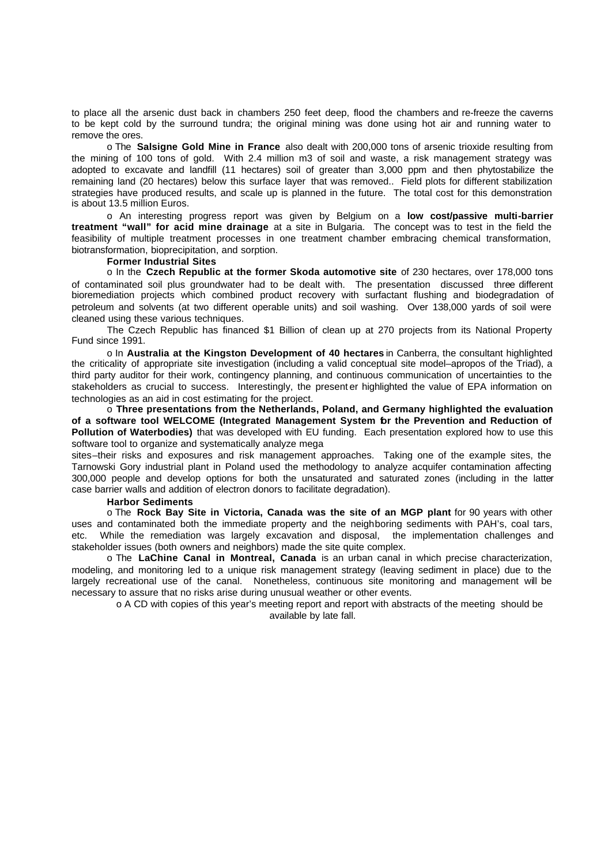to place all the arsenic dust back in chambers 250 feet deep, flood the chambers and re-freeze the caverns to be kept cold by the surround tundra; the original mining was done using hot air and running water to remove the ores.

o The **Salsigne Gold Mine in France** also dealt with 200,000 tons of arsenic trioxide resulting from the mining of 100 tons of gold. With 2.4 million m3 of soil and waste, a risk management strategy was adopted to excavate and landfill (11 hectares) soil of greater than 3,000 ppm and then phytostabilize the remaining land (20 hectares) below this surface layer that was removed.. Field plots for different stabilization strategies have produced results, and scale up is planned in the future. The total cost for this demonstration is about 13.5 million Euros.

o An interesting progress report was given by Belgium on a **low cost/passive multi-barrier treatment "wall" for acid mine drainage** at a site in Bulgaria. The concept was to test in the field the feasibility of multiple treatment processes in one treatment chamber embracing chemical transformation, biotransformation, bioprecipitation, and sorption.

#### **Former Industrial Sites**

o In the **Czech Republic at the former Skoda automotive site** of 230 hectares, over 178,000 tons of contaminated soil plus groundwater had to be dealt with. The presentation discussed three different bioremediation projects which combined product recovery with surfactant flushing and biodegradation of petroleum and solvents (at two different operable units) and soil washing. Over 138,000 yards of soil were cleaned using these various techniques.

The Czech Republic has financed \$1 Billion of clean up at 270 projects from its National Property Fund since 1991.

o In **Australia at the Kingston Development of 40 hectares** in Canberra, the consultant highlighted the criticality of appropriate site investigation (including a valid conceptual site model–apropos of the Triad), a third party auditor for their work, contingency planning, and continuous communication of uncertainties to the stakeholders as crucial to success. Interestingly, the present er highlighted the value of EPA information on technologies as an aid in cost estimating for the project.

o **Three presentations from the Netherlands, Poland, and Germany highlighted the evaluation of a software tool WELCOME (Integrated Management System for the Prevention and Reduction of Pollution of Waterbodies)** that was developed with EU funding. Each presentation explored how to use this software tool to organize and systematically analyze mega

sites–their risks and exposures and risk management approaches. Taking one of the example sites, the Tarnowski Gory industrial plant in Poland used the methodology to analyze acquifer contamination affecting 300,000 people and develop options for both the unsaturated and saturated zones (including in the latter case barrier walls and addition of electron donors to facilitate degradation).

#### **Harbor Sediments**

o The **Rock Bay Site in Victoria, Canada was the site of an MGP plant** for 90 years with other uses and contaminated both the immediate property and the neighboring sediments with PAH's, coal tars, etc. While the remediation was largely excavation and disposal, the implementation challenges and stakeholder issues (both owners and neighbors) made the site quite complex.

o The **LaChine Canal in Montreal, Canada** is an urban canal in which precise characterization, modeling, and monitoring led to a unique risk management strategy (leaving sediment in place) due to the largely recreational use of the canal. Nonetheless, continuous site monitoring and management will be necessary to assure that no risks arise during unusual weather or other events.

o A CD with copies of this year's meeting report and report with abstracts of the meeting should be available by late fall.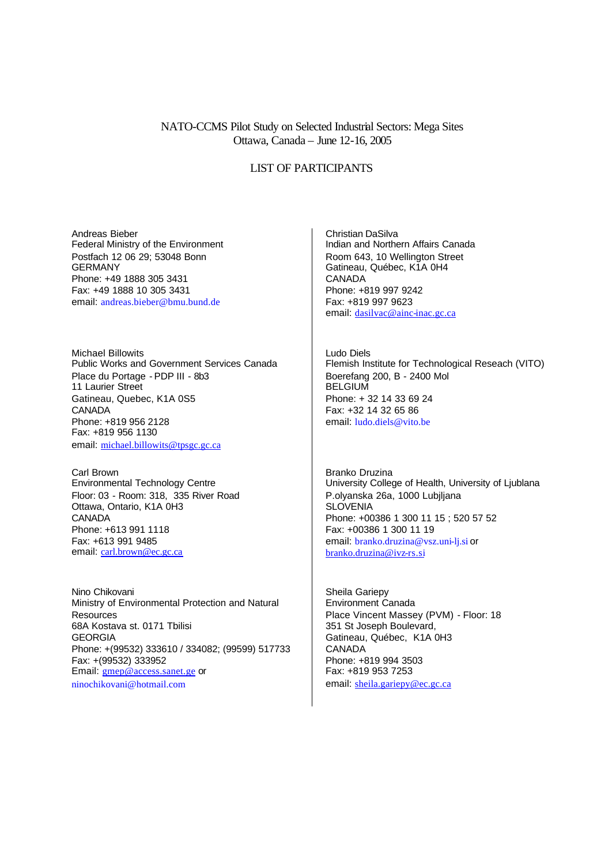## NATO-CCMS Pilot Study on Selected Industrial Sectors: Mega Sites Ottawa, Canada – June 12-16, 2005

### LIST OF PARTICIPANTS

Andreas Bieber Federal Ministry of the Environment Postfach 12 06 29; 53048 Bonn GERMANY Phone: +49 1888 305 3431 Fax: +49 1888 10 305 3431 email: andreas.bieber@bmu.bund.de

Michael Billowits Public Works and Government Services Canada Place du Portage - PDP III - 8b3 11 Laurier Street Gatineau, Quebec, K1A 0S5 **CANADA** Phone: +819 956 2128 Fax: +819 956 1130 email: michael.billowits@tpsgc.gc.ca

Carl Brown Environmental Technology Centre Floor: 03 - Room: 318, 335 River Road Ottawa, Ontario, K1A 0H3 **CANADA** Phone: +613 991 1118 Fax: +613 991 9485 email: carl.brown@ec.gc.ca

Nino Chikovani Ministry of Environmental Protection and Natural Resources 68A Kostava st. 0171 Tbilisi GEORGIA Phone: +(99532) 333610 / 334082; (99599) 517733 Fax: +(99532) 333952 Email: gmep@access.sanet.ge or

ninochikovani@hotmail.com

Christian DaSilva Indian and Northern Affairs Canada Room 643, 10 Wellington Street Gatineau, Québec, K1A 0H4 CANADA Phone: +819 997 9242 Fax: +819 997 9623 email: dasilvac@ainc-inac.gc.ca

Ludo Diels Flemish Institute for Technological Reseach (VITO) Boerefang 200, B - 2400 Mol **BELGIUM** Phone: + 32 14 33 69 24 Fax: +32 14 32 65 86 email: ludo.diels@vito.be

Branko Druzina University College of Health, University of Ljublana P.olyanska 26a, 1000 Lubjljana **SLOVENIA** Phone: +00386 1 300 11 15 ; 520 57 52 Fax: +00386 1 300 11 19 email: branko.druzina@vsz.uni-lj.si or branko.druzina@ivz-rs.si

Sheila Gariepy Environment Canada Place Vincent Massey (PVM) - Floor: 18 351 St Joseph Boulevard, Gatineau, Québec, K1A 0H3 CANADA Phone: +819 994 3503 Fax: +819 953 7253 email: sheila.gariepy@ec.gc.ca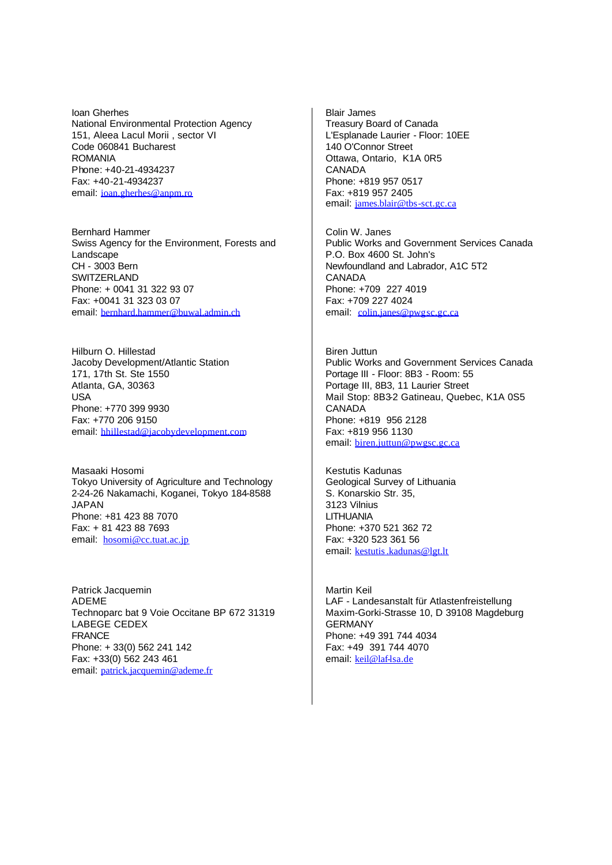Ioan Gherhes National Environmental Protection Agency 151, Aleea Lacul Morii , sector VI Code 060841 Bucharest ROMANIA Phone: +40-21-4934237 Fax: +40-21-4934237 email: ioan.gherhes@anpm.ro

Bernhard Hammer Swiss Agency for the Environment, Forests and **Landscape** CH - 3003 Bern SWITZERI AND Phone: + 0041 31 322 93 07 Fax: +0041 31 323 03 07 email: bernhard.hammer@buwal.admin.ch

Hilburn O. Hillestad Jacoby Development/Atlantic Station 171, 17th St. Ste 1550 Atlanta, GA, 30363 USA Phone: +770 399 9930 Fax: +770 206 9150 email: hhillestad@jacobydevelopment.com

Masaaki Hosomi Tokyo University of Agriculture and Technology 2-24-26 Nakamachi, Koganei, Tokyo 184-8588 JAPAN Phone: +81 423 88 7070 Fax: + 81 423 88 7693 email: hosomi@cc.tuat.ac.jp

Patrick Jacquemin ADEME Technoparc bat 9 Voie Occitane BP 672 31319 LABEGE CEDEX FRANCE Phone: + 33(0) 562 241 142 Fax: +33(0) 562 243 461 email: patrick.jacquemin@ademe.fr

Blair James Treasury Board of Canada L'Esplanade Laurier - Floor: 10EE 140 O'Connor Street Ottawa, Ontario, K1A 0R5 CANADA Phone: +819 957 0517 Fax: +819 957 2405 email: james.blair@tbs-sct.gc.ca

Colin W. Janes Public Works and Government Services Canada P.O. Box 4600 St. John's Newfoundland and Labrador, A1C 5T2 CANADA Phone: +709 227 4019 Fax: +709 227 4024 email: colin.janes@pwgsc.gc.ca

Biren Juttun Public Works and Government Services Canada Portage III - Floor: 8B3 - Room: 55 Portage III, 8B3, 11 Laurier Street Mail Stop: 8B3-2 Gatineau, Quebec, K1A 0S5 CANADA Phone: +819 956 2128 Fax: +819 956 1130 email: biren.juttun@pwgsc.gc.ca

Kestutis Kadunas Geological Survey of Lithuania S. Konarskio Str. 35, 3123 Vilnius LITHUANIA Phone: +370 521 362 72 Fax: +320 523 361 56 email: kestutis.kadunas@lgt.lt

Martin Keil LAF - Landesanstalt für Atlastenfreistellung Maxim-Gorki-Strasse 10, D 39108 Magdeburg GERMANY Phone: +49 391 744 4034 Fax: +49 391 744 4070 email: keil@laf-lsa.de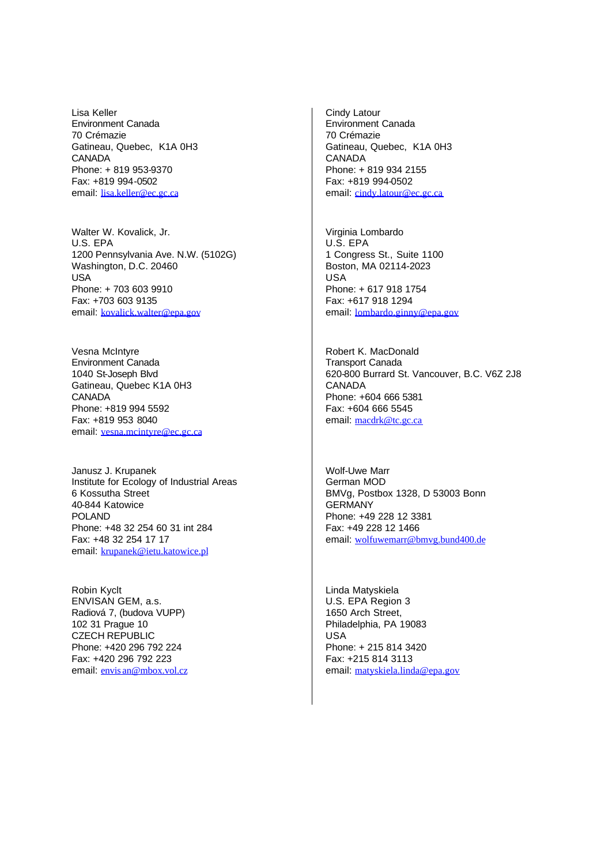Lisa Keller Environment Canada 70 Crémazie Gatineau, Quebec, K1A 0H3 **CANADA** Phone: + 819 953-9370 Fax: +819 994-0502 email: lisa.keller@ec.gc.ca

Walter W. Kovalick, Jr. U.S. EPA 1200 Pennsylvania Ave. N.W. (5102G) Washington, D.C. 20460 **USA** Phone: + 703 603 9910 Fax: +703 603 9135 email: kovalick.walter@epa.gov

Vesna McIntyre Environment Canada 1040 St-Joseph Blvd Gatineau, Quebec K1A 0H3 CANADA Phone: +819 994 5592 Fax: +819 953 8040 email: vesna.mcintyre@ec.gc.ca

Janusz J. Krupanek Institute for Ecology of Industrial Areas 6 Kossutha Street 40-844 Katowice POLAND Phone: +48 32 254 60 31 int 284 Fax: +48 32 254 17 17 email: krupanek@ietu.katowice.pl

Robin Kyclt ENVISAN GEM, a.s. Radiová 7, (budova VUPP) 102 31 Prague 10 CZECH REPUBLIC Phone: +420 296 792 224 Fax: +420 296 792 223 email: envis an@mbox.vol.cz Cindy Latour Environment Canada 70 Crémazie Gatineau, Quebec, K1A 0H3 CANADA Phone: + 819 934 2155 Fax: +819 994-0502 email: cindy.latour@ec.gc.ca

Virginia Lombardo U.S. EPA 1 Congress St., Suite 1100 Boston, MA 02114-2023 USA Phone: + 617 918 1754 Fax: +617 918 1294 email: lombardo.ginny@epa.gov

Robert K. MacDonald Transport Canada 620-800 Burrard St. Vancouver, B.C. V6Z 2J8 CANADA Phone: +604 666 5381 Fax: +604 666 5545 email: macdrk@tc.gc.ca

Wolf-Uwe Marr German MOD BMVg, Postbox 1328, D 53003 Bonn **GERMANY** Phone: +49 228 12 3381 Fax: +49 228 12 1466 email: wolfuwemarr@bmvg.bund400.de

Linda Matyskiela U.S. EPA Region 3 1650 Arch Street, Philadelphia, PA 19083 USA Phone: + 215 814 3420 Fax: +215 814 3113 email: matyskiela.linda@epa.gov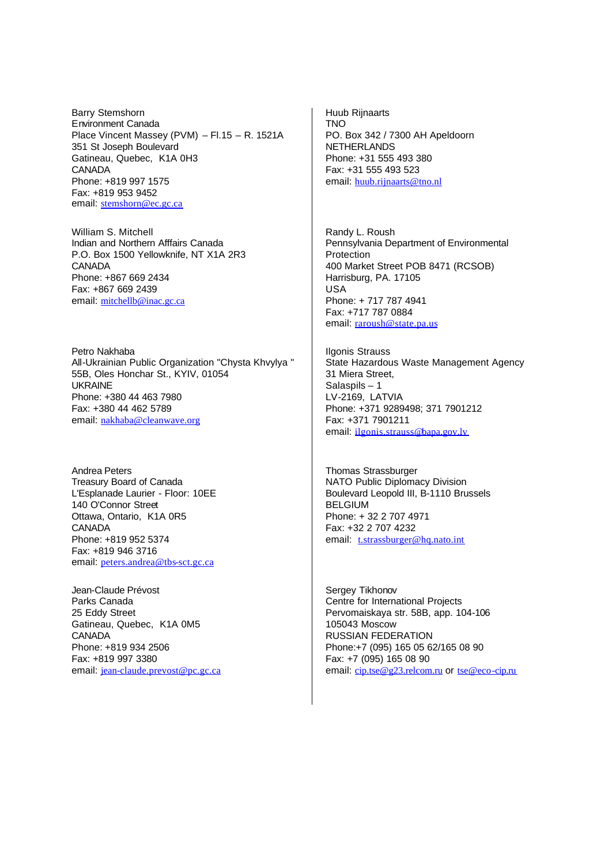Barry Stemshorn Environment Canada Place Vincent Massey (PVM) – Fl.15 – R. 1521A 351 St Joseph Boulevard Gatineau, Quebec, K1A 0H3 CANADA Phone: +819 997 1575 Fax: +819 953 9452 email: stemshorn@ec.gc.ca

William S. Mitchell Indian and Northern Afffairs Canada P.O. Box 1500 Yellowknife, NT X1A 2R3 **CANADA** Phone: +867 669 2434 Fax: +867 669 2439 email: mitchellb@inac.gc.ca

Petro Nakhaba All-Ukrainian Public Organization "Chysta Khvylya " 55B, Oles Honchar St., KYIV, 01054 UKRAINE Phone: +380 44 463 7980 Fax: +380 44 462 5789 email: nakhaba@cleanwave.org

Andrea Peters Treasury Board of Canada L'Esplanade Laurier - Floor: 10EE 140 O'Connor Street Ottawa, Ontario, K1A 0R5 **CANADA** Phone: +819 952 5374 Fax: +819 946 3716 email: peters.andrea@tbs-sct.gc.ca

Jean-Claude Prévost Parks Canada 25 Eddy Street Gatineau, Quebec, K1A 0M5 **CANADA** Phone: +819 934 2506 Fax: +819 997 3380 email: jean-claude.prevost@pc.gc.ca Huub Rijnaarts TNO PO. Box 342 / 7300 AH Apeldoorn NETHERLANDS Phone: +31 555 493 380 Fax: +31 555 493 523 email: huub.rijnaarts@tno.nl

Randy L. Roush Pennsylvania Department of Environmental Protection 400 Market Street POB 8471 (RCSOB) Harrisburg, PA. 17105 USA Phone: + 717 787 4941 Fax: +717 787 0884 email: raroush@state.pa.us

Ilgonis Strauss State Hazardous Waste Management Agency 31 Miera Street, Salaspils – 1 LV-2169, LATVIA Phone: +371 9289498; 371 7901212 Fax: +371 7901211 email: ilgonis.strauss@bapa.gov.lv

Thomas Strassburger NATO Public Diplomacy Division Boulevard Leopold III, B-1110 Brussels **BELGIUM** Phone: + 32 2 707 4971 Fax: +32 2 707 4232 email: t.strassburger@hq.nato.int

Sergey Tikhonov Centre for International Projects Pervomaiskaya str. 58B, app. 104-106 105043 Moscow RUSSIAN FEDERATION Phone:+7 (095) 165 05 62/165 08 90 Fax: +7 (095) 165 08 90 email: cip.tse@g23.relcom.ru or tse@eco-cip.ru